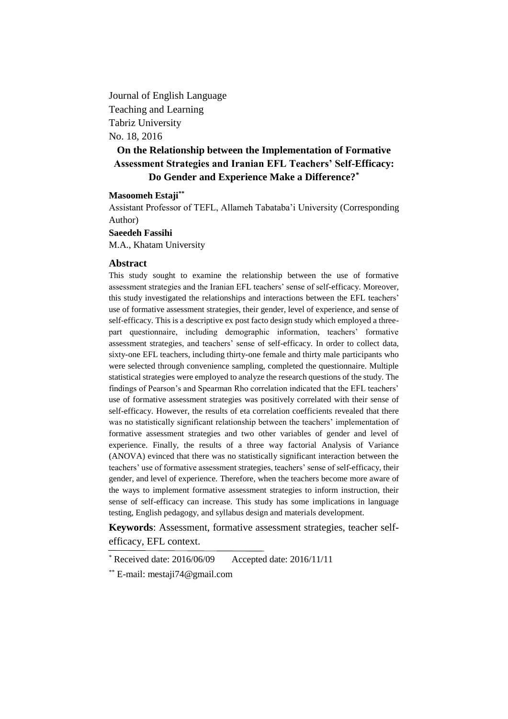Journal of English Language Teaching and Learning Tabriz University No. 18, 2016

# **On the Relationship between the Implementation of Formative Assessment Strategies and Iranian EFL Teachers' Self-Efficacy: Do Gender and Experience Make a Difference?\***

#### **Masoomeh Estaji\*\***

Assistant Professor of TEFL, Allameh Tabataba'i University (Corresponding Author)

**Saeedeh Fassihi** M.A., Khatam University

#### **Abstract**

This study sought to examine the relationship between the use of formative assessment strategies and the Iranian EFL teachers' sense of self-efficacy. Moreover, this study investigated the relationships and interactions between the EFL teachers' use of formative assessment strategies, their gender, level of experience, and sense of self-efficacy. This is a descriptive ex post facto design study which employed a threepart questionnaire, including demographic information, teachers' formative assessment strategies, and teachers' sense of self-efficacy. In order to collect data, sixty-one EFL teachers, including thirty-one female and thirty male participants who were selected through convenience sampling, completed the questionnaire. Multiple statistical strategies were employed to analyze the research questions of the study. The findings of Pearson's and Spearman Rho correlation indicated that the EFL teachers' use of formative assessment strategies was positively correlated with their sense of self-efficacy. However, the results of eta correlation coefficients revealed that there was no statistically significant relationship between the teachers' implementation of formative assessment strategies and two other variables of gender and level of experience. Finally, the results of a three way factorial Analysis of Variance (ANOVA) evinced that there was no statistically significant interaction between the teachers' use of formative assessment strategies, teachers' sense of self-efficacy, their gender, and level of experience. Therefore, when the teachers become more aware of the ways to implement formative assessment strategies to inform instruction, their sense of self-efficacy can increase. This study has some implications in language testing, English pedagogy, and syllabus design and materials development.

**Keywords**: Assessment, formative assessment strategies, teacher selfefficacy, EFL context.

<sup>\*</sup> Received date: 2016/06/09 Accepted date: 2016/11/11

<sup>\*\*</sup> E-mail: mestaji74@gmail.com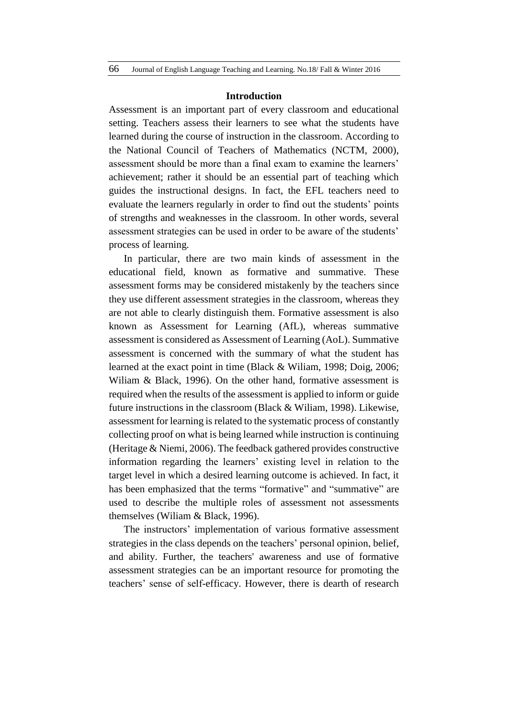#### **Introduction**

Assessment is an important part of every classroom and educational setting. Teachers assess their learners to see what the students have learned during the course of instruction in the classroom. According to the National Council of Teachers of Mathematics (NCTM, 2000), assessment should be more than a final exam to examine the learners' achievement; rather it should be an essential part of teaching which guides the instructional designs. In fact, the EFL teachers need to evaluate the learners regularly in order to find out the students' points of strengths and weaknesses in the classroom. In other words, several assessment strategies can be used in order to be aware of the students' process of learning.

In particular, there are two main kinds of assessment in the educational field, known as formative and summative. These assessment forms may be considered mistakenly by the teachers since they use different assessment strategies in the classroom, whereas they are not able to clearly distinguish them. Formative assessment is also known as Assessment for Learning (AfL), whereas summative assessment is considered as Assessment of Learning (AoL). Summative assessment is concerned with the summary of what the student has learned at the exact point in time (Black & Wiliam, 1998; Doig, 2006; Wiliam & Black, 1996). On the other hand, formative assessment is required when the results of the assessment is applied to inform or guide future instructions in the classroom (Black & Wiliam, 1998). Likewise, assessment for learning is related to the systematic process of constantly collecting proof on what is being learned while instruction is continuing (Heritage & Niemi, 2006). The feedback gathered provides constructive information regarding the learners' existing level in relation to the target level in which a desired learning outcome is achieved. In fact, it has been emphasized that the terms "formative" and "summative" are used to describe the multiple roles of assessment not assessments themselves (Wiliam & Black, 1996).

The instructors' implementation of various formative assessment strategies in the class depends on the teachers' personal opinion, belief, and ability. Further, the teachers' awareness and use of formative assessment strategies can be an important resource for promoting the teachers' sense of self-efficacy. However, there is dearth of research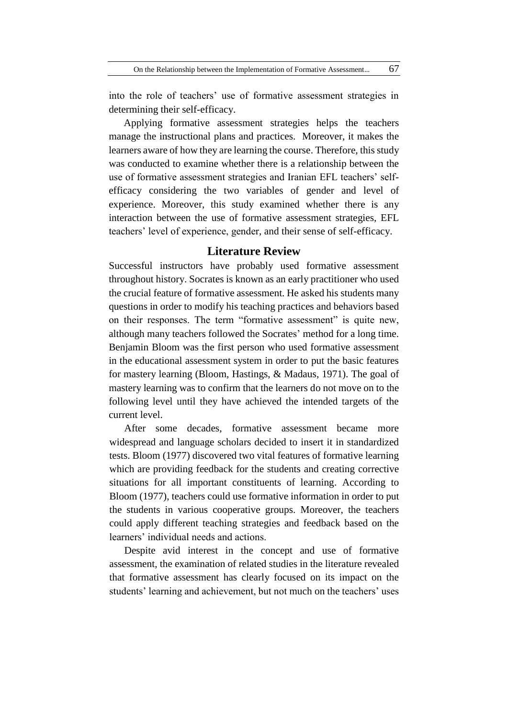into the role of teachers' use of formative assessment strategies in determining their self-efficacy.

Applying formative assessment strategies helps the teachers manage the instructional plans and practices. Moreover, it makes the learners aware of how they are learning the course. Therefore, this study was conducted to examine whether there is a relationship between the use of formative assessment strategies and Iranian EFL teachers' selfefficacy considering the two variables of gender and level of experience. Moreover, this study examined whether there is any interaction between the use of formative assessment strategies, EFL teachers' level of experience, gender, and their sense of self-efficacy.

## **Literature Review**

Successful instructors have probably used formative assessment throughout history. Socrates is known as an early practitioner who used the crucial feature of formative assessment. He asked his students many questions in order to modify his teaching practices and behaviors based on their responses. The term "formative assessment" is quite new, although many teachers followed the Socrates' method for a long time. Benjamin Bloom was the first person who used formative assessment in the educational assessment system in order to put the basic features for mastery learning (Bloom, Hastings, & Madaus, 1971). The goal of mastery learning was to confirm that the learners do not move on to the following level until they have achieved the intended targets of the current level.

After some decades, formative assessment became more widespread and language scholars decided to insert it in standardized tests. Bloom (1977) discovered two vital features of formative learning which are providing feedback for the students and creating corrective situations for all important constituents of learning. According to Bloom (1977), teachers could use formative information in order to put the students in various cooperative groups. Moreover, the teachers could apply different teaching strategies and feedback based on the learners' individual needs and actions.

Despite avid interest in the concept and use of formative assessment, the examination of related studies in the literature revealed that formative assessment has clearly focused on its impact on the students' learning and achievement, but not much on the teachers' uses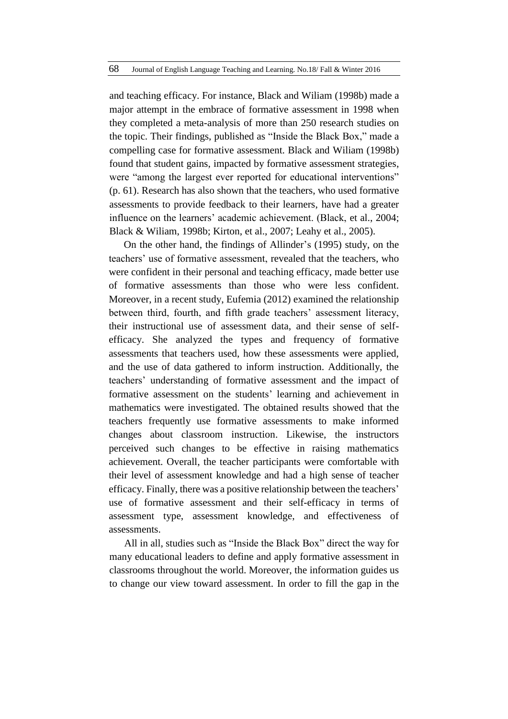and teaching efficacy. For instance, Black and Wiliam (1998b) made a major attempt in the embrace of formative assessment in 1998 when they completed a meta-analysis of more than 250 research studies on the topic. Their findings, published as "Inside the Black Box," made a compelling case for formative assessment. Black and Wiliam (1998b) found that student gains, impacted by formative assessment strategies, were "among the largest ever reported for educational interventions" (p. 61). Research has also shown that the teachers, who used formative assessments to provide feedback to their learners, have had a greater influence on the learners' academic achievement. (Black, et al., 2004; Black & Wiliam, 1998b; Kirton, et al., 2007; Leahy et al., 2005).

On the other hand, the findings of Allinder's (1995) study, on the teachers' use of formative assessment, revealed that the teachers, who were confident in their personal and teaching efficacy, made better use of formative assessments than those who were less confident. Moreover, in a recent study, Eufemia (2012) examined the relationship between third, fourth, and fifth grade teachers' assessment literacy, their instructional use of assessment data, and their sense of selfefficacy. She analyzed the types and frequency of formative assessments that teachers used, how these assessments were applied, and the use of data gathered to inform instruction. Additionally, the teachers' understanding of formative assessment and the impact of formative assessment on the students' learning and achievement in mathematics were investigated. The obtained results showed that the teachers frequently use formative assessments to make informed changes about classroom instruction. Likewise, the instructors perceived such changes to be effective in raising mathematics achievement. Overall, the teacher participants were comfortable with their level of assessment knowledge and had a high sense of teacher efficacy. Finally, there was a positive relationship between the teachers' use of formative assessment and their self-efficacy in terms of assessment type, assessment knowledge, and effectiveness of assessments.

All in all, studies such as "Inside the Black Box" direct the way for many educational leaders to define and apply formative assessment in classrooms throughout the world. Moreover, the information guides us to change our view toward assessment. In order to fill the gap in the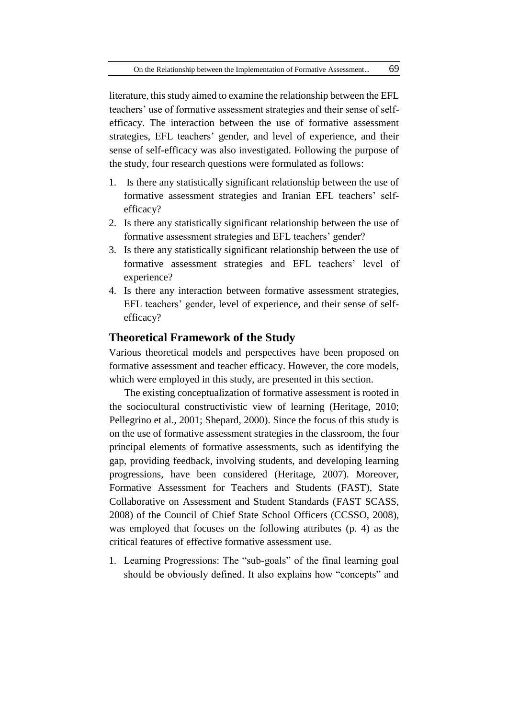literature, this study aimed to examine the relationship between the EFL teachers' use of formative assessment strategies and their sense of selfefficacy. The interaction between the use of formative assessment strategies, EFL teachers' gender, and level of experience, and their sense of self-efficacy was also investigated. Following the purpose of the study, four research questions were formulated as follows:

- 1. Is there any statistically significant relationship between the use of formative assessment strategies and Iranian EFL teachers' selfefficacy?
- 2. Is there any statistically significant relationship between the use of formative assessment strategies and EFL teachers' gender?
- 3. Is there any statistically significant relationship between the use of formative assessment strategies and EFL teachers' level of experience?
- 4. Is there any interaction between formative assessment strategies, EFL teachers' gender, level of experience, and their sense of selfefficacy?

### **Theoretical Framework of the Study**

Various theoretical models and perspectives have been proposed on formative assessment and teacher efficacy. However, the core models, which were employed in this study, are presented in this section.

The existing conceptualization of formative assessment is rooted in the sociocultural constructivistic view of learning (Heritage, 2010; Pellegrino et al., 2001; Shepard, 2000). Since the focus of this study is on the use of formative assessment strategies in the classroom, the four principal elements of formative assessments, such as identifying the gap, providing feedback, involving students, and developing learning progressions, have been considered (Heritage, 2007). Moreover, Formative Assessment for Teachers and Students (FAST), State Collaborative on Assessment and Student Standards (FAST SCASS, 2008) of the Council of Chief State School Officers (CCSSO, 2008), was employed that focuses on the following attributes (p. 4) as the critical features of effective formative assessment use.

1. Learning Progressions: The "sub-goals" of the final learning goal should be obviously defined. It also explains how "concepts" and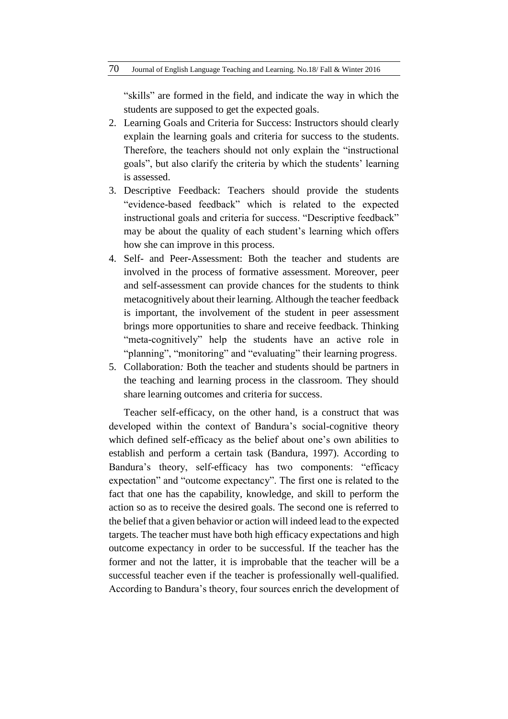"skills" are formed in the field, and indicate the way in which the students are supposed to get the expected goals.

- 2. Learning Goals and Criteria for Success: Instructors should clearly explain the learning goals and criteria for success to the students. Therefore, the teachers should not only explain the "instructional goals", but also clarify the criteria by which the students' learning is assessed.
- 3. Descriptive Feedback: Teachers should provide the students "evidence-based feedback" which is related to the expected instructional goals and criteria for success. "Descriptive feedback" may be about the quality of each student's learning which offers how she can improve in this process.
- 4. Self- and Peer-Assessment: Both the teacher and students are involved in the process of formative assessment. Moreover, peer and self-assessment can provide chances for the students to think metacognitively about their learning. Although the teacher feedback is important, the involvement of the student in peer assessment brings more opportunities to share and receive feedback. Thinking "meta-cognitively" help the students have an active role in "planning", "monitoring" and "evaluating" their learning progress.
- 5. Collaboration*:* Both the teacher and students should be partners in the teaching and learning process in the classroom. They should share learning outcomes and criteria for success.

Teacher self-efficacy, on the other hand, is a construct that was developed within the context of Bandura's social-cognitive theory which defined self-efficacy as the belief about one's own abilities to establish and perform a certain task (Bandura, 1997). According to Bandura's theory, self-efficacy has two components: "efficacy expectation" and "outcome expectancy". The first one is related to the fact that one has the capability, knowledge, and skill to perform the action so as to receive the desired goals. The second one is referred to the belief that a given behavior or action will indeed lead to the expected targets. The teacher must have both high efficacy expectations and high outcome expectancy in order to be successful. If the teacher has the former and not the latter, it is improbable that the teacher will be a successful teacher even if the teacher is professionally well-qualified. According to Bandura's theory, four sources enrich the development of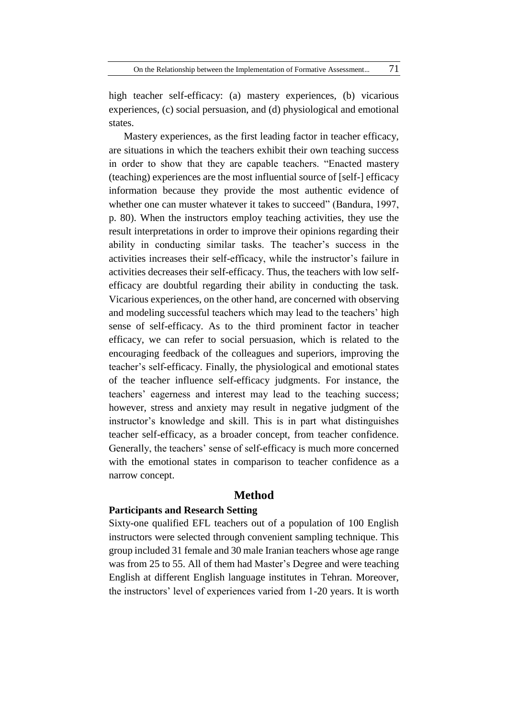high teacher self-efficacy: (a) mastery experiences, (b) vicarious experiences, (c) social persuasion, and (d) physiological and emotional states.

Mastery experiences, as the first leading factor in teacher efficacy, are situations in which the teachers exhibit their own teaching success in order to show that they are capable teachers. "Enacted mastery (teaching) experiences are the most influential source of [self-] efficacy information because they provide the most authentic evidence of whether one can muster whatever it takes to succeed" (Bandura, 1997, p. 80). When the instructors employ teaching activities, they use the result interpretations in order to improve their opinions regarding their ability in conducting similar tasks. The teacher's success in the activities increases their self-efficacy, while the instructor's failure in activities decreases their self-efficacy. Thus, the teachers with low selfefficacy are doubtful regarding their ability in conducting the task. Vicarious experiences, on the other hand, are concerned with observing and modeling successful teachers which may lead to the teachers' high sense of self-efficacy. As to the third prominent factor in teacher efficacy, we can refer to social persuasion, which is related to the encouraging feedback of the colleagues and superiors, improving the teacher's self-efficacy. Finally, the physiological and emotional states of the teacher influence self-efficacy judgments. For instance, the teachers' eagerness and interest may lead to the teaching success; however, stress and anxiety may result in negative judgment of the instructor's knowledge and skill. This is in part what distinguishes teacher self-efficacy, as a broader concept, from teacher confidence. Generally, the teachers' sense of self-efficacy is much more concerned with the emotional states in comparison to teacher confidence as a narrow concept.

### **Method**

### **Participants and Research Setting**

Sixty-one qualified EFL teachers out of a population of 100 English instructors were selected through convenient sampling technique. This group included 31 female and 30 male Iranian teachers whose age range was from 25 to 55. All of them had Master's Degree and were teaching English at different English language institutes in Tehran. Moreover, the instructors' level of experiences varied from 1-20 years. It is worth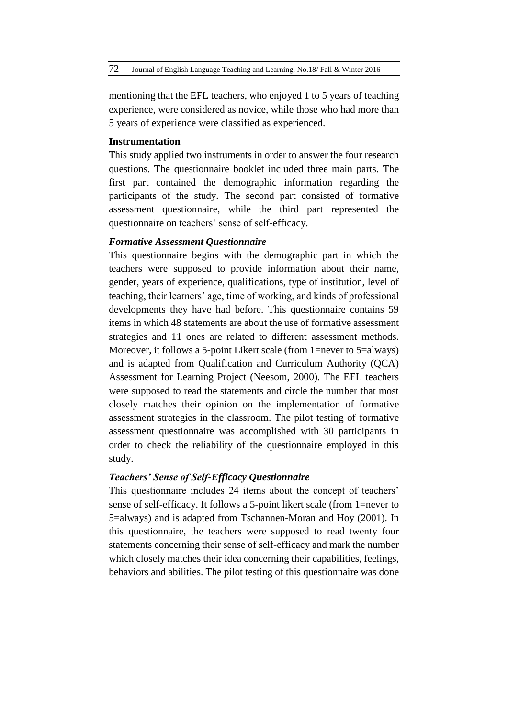mentioning that the EFL teachers, who enjoyed 1 to 5 years of teaching experience, were considered as novice, while those who had more than 5 years of experience were classified as experienced.

#### **Instrumentation**

This study applied two instruments in order to answer the four research questions. The questionnaire booklet included three main parts. The first part contained the demographic information regarding the participants of the study. The second part consisted of formative assessment questionnaire, while the third part represented the questionnaire on teachers' sense of self-efficacy.

#### *Formative Assessment Questionnaire*

This questionnaire begins with the demographic part in which the teachers were supposed to provide information about their name, gender, years of experience, qualifications, type of institution, level of teaching, their learners' age, time of working, and kinds of professional developments they have had before. This questionnaire contains 59 items in which 48 statements are about the use of formative assessment strategies and 11 ones are related to different assessment methods. Moreover, it follows a 5-point Likert scale (from 1=never to 5=always) and is adapted from Qualification and Curriculum Authority (QCA) Assessment for Learning Project (Neesom, 2000). The EFL teachers were supposed to read the statements and circle the number that most closely matches their opinion on the implementation of formative assessment strategies in the classroom. The pilot testing of formative assessment questionnaire was accomplished with 30 participants in order to check the reliability of the questionnaire employed in this study.

### *Teachers' Sense of Self-Efficacy Questionnaire*

This questionnaire includes 24 items about the concept of teachers' sense of self-efficacy. It follows a 5-point likert scale (from 1=never to 5=always) and is adapted from Tschannen-Moran and Hoy (2001). In this questionnaire, the teachers were supposed to read twenty four statements concerning their sense of self-efficacy and mark the number which closely matches their idea concerning their capabilities, feelings, behaviors and abilities. The pilot testing of this questionnaire was done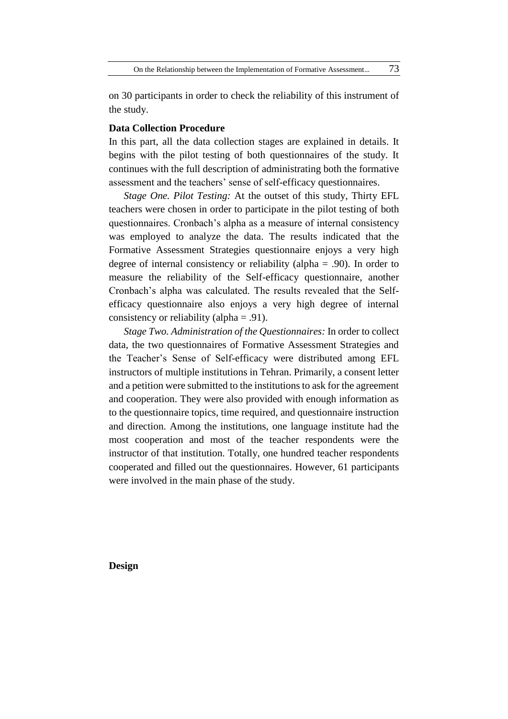on 30 participants in order to check the reliability of this instrument of the study.

#### **Data Collection Procedure**

In this part, all the data collection stages are explained in details. It begins with the pilot testing of both questionnaires of the study. It continues with the full description of administrating both the formative assessment and the teachers' sense of self-efficacy questionnaires.

*Stage One. Pilot Testing:* At the outset of this study, Thirty EFL teachers were chosen in order to participate in the pilot testing of both questionnaires. Cronbach's alpha as a measure of internal consistency was employed to analyze the data. The results indicated that the Formative Assessment Strategies questionnaire enjoys a very high degree of internal consistency or reliability (alpha = .90). In order to measure the reliability of the Self-efficacy questionnaire, another Cronbach's alpha was calculated. The results revealed that the Selfefficacy questionnaire also enjoys a very high degree of internal consistency or reliability (alpha = .91).

*Stage Two. Administration of the Questionnaires:* In order to collect data, the two questionnaires of Formative Assessment Strategies and the Teacher's Sense of Self-efficacy were distributed among EFL instructors of multiple institutions in Tehran. Primarily, a consent letter and a petition were submitted to the institutions to ask for the agreement and cooperation. They were also provided with enough information as to the questionnaire topics, time required, and questionnaire instruction and direction. Among the institutions, one language institute had the most cooperation and most of the teacher respondents were the instructor of that institution. Totally, one hundred teacher respondents cooperated and filled out the questionnaires. However, 61 participants were involved in the main phase of the study.

**Design**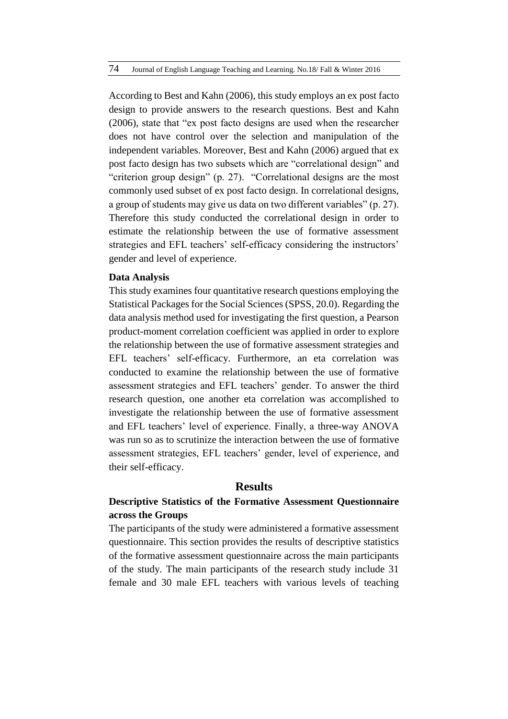According to Best and Kahn (2006), this study employs an ex post facto design to provide answers to the research questions. Best and Kahn (2006), state that "ex post facto designs are used when the researcher does not have control over the selection and manipulation of the independent variables. Moreover, Best and Kahn (2006) argued that ex post facto design has two subsets which are "correlational design" and "criterion group design" (p. 27). "Correlational designs are the most commonly used subset of ex post facto design. In correlational designs, a group of students may give us data on two different variables" (p. 27). Therefore this study conducted the correlational design in order to estimate the relationship between the use of formative assessment strategies and EFL teachers' self-efficacy considering the instructors' gender and level of experience.

#### **Data Analysis**

This study examines four quantitative research questions employing the Statistical Packages for the Social Sciences (SPSS, 20.0). Regarding the data analysis method used for investigating the first question, a Pearson product-moment correlation coefficient was applied in order to explore the relationship between the use of formative assessment strategies and EFL teachers' self-efficacy. Furthermore, an eta correlation was conducted to examine the relationship between the use of formative assessment strategies and EFL teachers' gender. To answer the third research question, one another eta correlation was accomplished to investigate the relationship between the use of formative assessment and EFL teachers' level of experience. Finally, a three-way ANOVA was run so as to scrutinize the interaction between the use of formative assessment strategies, EFL teachers' gender, level of experience, and their self-efficacy.

## **Results**

# **Descriptive Statistics of the Formative Assessment Questionnaire across the Groups**

The participants of the study were administered a formative assessment questionnaire. This section provides the results of descriptive statistics of the formative assessment questionnaire across the main participants of the study. The main participants of the research study include 31 female and 30 male EFL teachers with various levels of teaching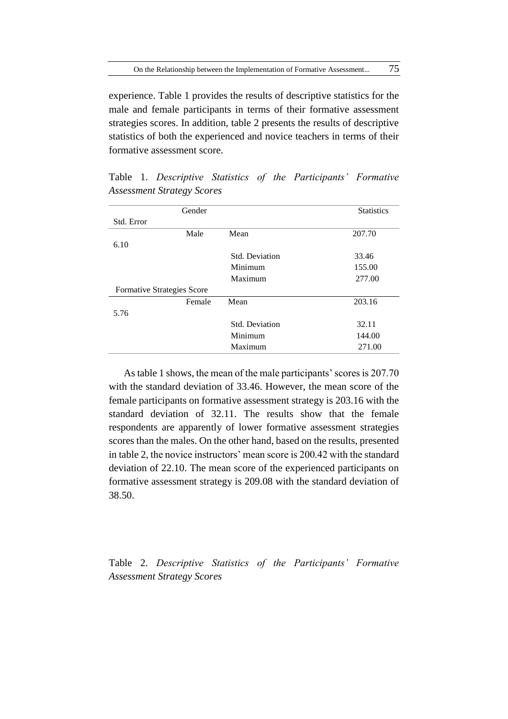experience. Table 1 provides the results of descriptive statistics for the male and female participants in terms of their formative assessment strategies scores. In addition, table 2 presents the results of descriptive statistics of both the experienced and novice teachers in terms of their formative assessment score.

| Gender                     |                       | <b>Statistics</b> |
|----------------------------|-----------------------|-------------------|
| Std. Error                 |                       |                   |
| Male                       | Mean                  | 207.70            |
| 6.10                       |                       |                   |
|                            | <b>Std. Deviation</b> | 33.46             |
|                            | Minimum               | 155.00            |
|                            | Maximum               | 277.00            |
| Formative Strategies Score |                       |                   |
| Female                     | Mean                  | 203.16            |
| 5.76                       |                       |                   |
|                            | Std. Deviation        | 32.11             |
|                            | Minimum               | 144.00            |
|                            | Maximum               | 271.00            |

Table 1. *Descriptive Statistics of the Participants' Formative Assessment Strategy Scores*

As table 1 shows, the mean of the male participants' scores is 207.70 with the standard deviation of 33.46. However, the mean score of the female participants on formative assessment strategy is 203.16 with the standard deviation of 32.11. The results show that the female respondents are apparently of lower formative assessment strategies scores than the males. On the other hand, based on the results, presented in table 2, the novice instructors' mean score is 200.42 with the standard deviation of 22.10. The mean score of the experienced participants on formative assessment strategy is 209.08 with the standard deviation of 38.50.

Table 2. *Descriptive Statistics of the Participants' Formative Assessment Strategy Scores*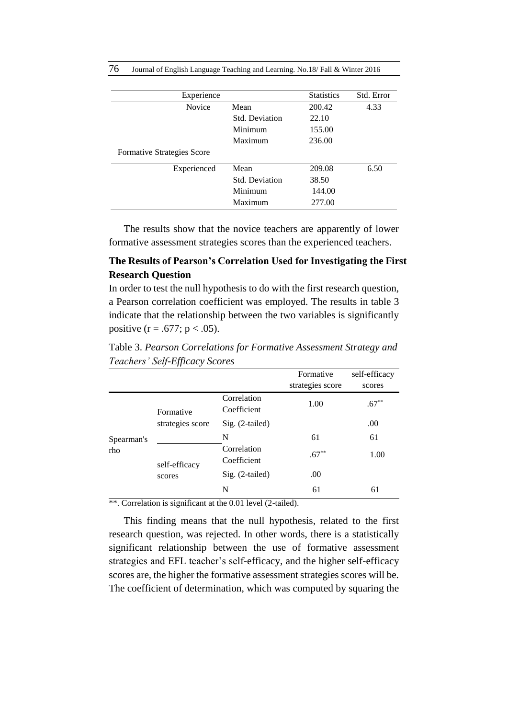76 Journal of English Language Teaching and Learning. No.18/ Fall & Winter 2016

| Experience                 |                       | <b>Statistics</b> | Std. Error |
|----------------------------|-----------------------|-------------------|------------|
| <b>Novice</b>              | Mean                  | 200.42            | 4.33       |
|                            | Std. Deviation        | 22.10             |            |
|                            | Minimum               | 155.00            |            |
|                            | Maximum               | 236.00            |            |
| Formative Strategies Score |                       |                   |            |
| Experienced                | Mean                  | 209.08            | 6.50       |
|                            | <b>Std. Deviation</b> | 38.50             |            |
|                            | Minimum               | 144.00            |            |
|                            | Maximum               | 277.00            |            |

The results show that the novice teachers are apparently of lower formative assessment strategies scores than the experienced teachers.

## **The Results of Pearson's Correlation Used for Investigating the First Research Question**

In order to test the null hypothesis to do with the first research question, a Pearson correlation coefficient was employed. The results in table 3 indicate that the relationship between the two variables is significantly positive  $(r = .677; p < .05)$ .

Table 3. *Pearson Correlations for Formative Assessment Strategy and Teachers' Self-Efficacy Scores*

|                   |                               |                            | Formative        | self-efficacy |
|-------------------|-------------------------------|----------------------------|------------------|---------------|
|                   |                               |                            | strategies score | scores        |
| Spearman's<br>rho | Formative<br>strategies score | Correlation<br>Coefficient | 1.00             | $.67***$      |
|                   |                               | $Sig. (2-tailed)$          |                  | .00           |
|                   |                               | N                          | 61               | 61            |
|                   | self-efficacy<br>scores       | Correlation<br>Coefficient | $.67***$         | 1.00          |
|                   |                               | Sig. (2-tailed)            | .00              |               |
|                   |                               | N                          | 61               | 61            |

\*\*. Correlation is significant at the 0.01 level (2-tailed).

This finding means that the null hypothesis, related to the first research question, was rejected. In other words, there is a statistically significant relationship between the use of formative assessment strategies and EFL teacher's self-efficacy, and the higher self-efficacy scores are, the higher the formative assessment strategies scores will be. The coefficient of determination, which was computed by squaring the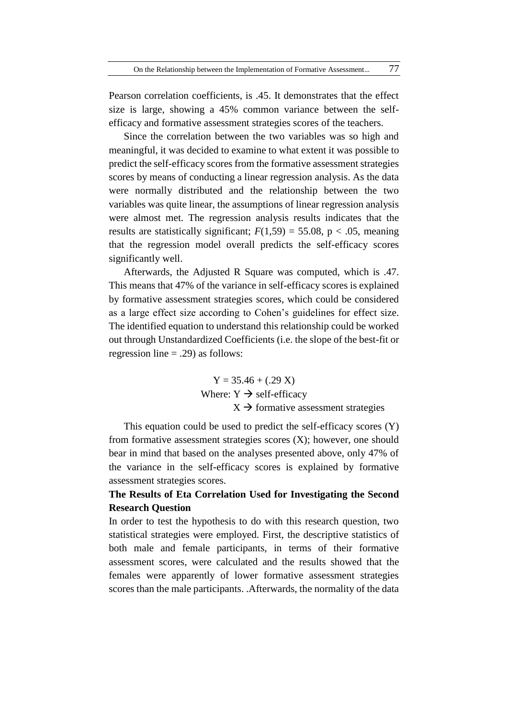Pearson correlation coefficients, is .45. It demonstrates that the effect size is large, showing a 45% common variance between the selfefficacy and formative assessment strategies scores of the teachers.

Since the correlation between the two variables was so high and meaningful, it was decided to examine to what extent it was possible to predict the self-efficacy scores from the formative assessment strategies scores by means of conducting a linear regression analysis. As the data were normally distributed and the relationship between the two variables was quite linear, the assumptions of linear regression analysis were almost met. The regression analysis results indicates that the results are statistically significant;  $F(1,59) = 55.08$ , p < .05, meaning that the regression model overall predicts the self-efficacy scores significantly well.

Afterwards, the Adjusted R Square was computed, which is .47. This means that 47% of the variance in self-efficacy scores is explained by formative assessment strategies scores, which could be considered as a large effect size according to Cohen's guidelines for effect size. The identified equation to understand this relationship could be worked out through Unstandardized Coefficients (i.e. the slope of the best-fit or regression line  $= .29$ ) as follows:

> $Y = 35.46 + (.29 X)$ Where:  $Y \rightarrow$  self-efficacy  $X \rightarrow$  formative assessment strategies

This equation could be used to predict the self-efficacy scores (Y) from formative assessment strategies scores (X); however, one should bear in mind that based on the analyses presented above, only 47% of the variance in the self-efficacy scores is explained by formative assessment strategies scores.

## **The Results of Eta Correlation Used for Investigating the Second Research Question**

In order to test the hypothesis to do with this research question, two statistical strategies were employed. First, the descriptive statistics of both male and female participants, in terms of their formative assessment scores, were calculated and the results showed that the females were apparently of lower formative assessment strategies scores than the male participants. .Afterwards, the normality of the data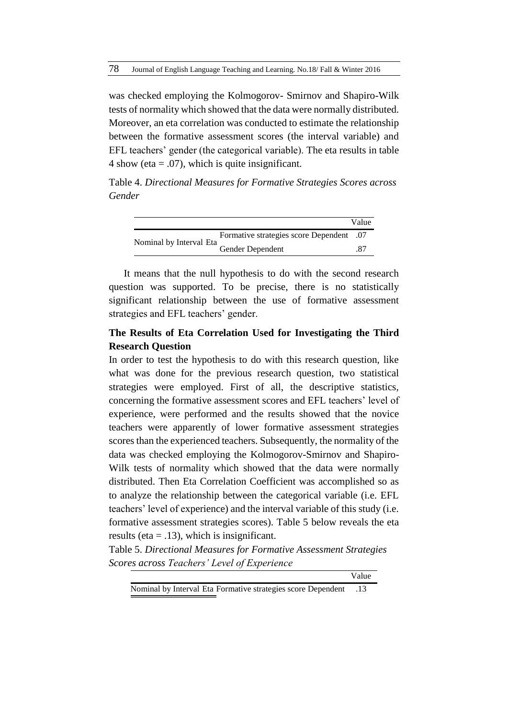was checked employing the Kolmogorov- Smirnov and Shapiro-Wilk tests of normality which showed that the data were normally distributed. Moreover, an eta correlation was conducted to estimate the relationship between the formative assessment scores (the interval variable) and EFL teachers' gender (the categorical variable). The eta results in table 4 show (eta  $= .07$ ), which is quite insignificant.

Table 4. *Directional Measures for Formative Strategies Scores across Gender*

|                         |                                      | Value |
|-------------------------|--------------------------------------|-------|
| Nominal by Interval Eta | Formative strategies score Dependent | .07   |
|                         | Gender Dependent                     | .87   |

It means that the null hypothesis to do with the second research question was supported. To be precise, there is no statistically significant relationship between the use of formative assessment strategies and EFL teachers' gender.

## **The Results of Eta Correlation Used for Investigating the Third Research Question**

In order to test the hypothesis to do with this research question, like what was done for the previous research question, two statistical strategies were employed. First of all, the descriptive statistics, concerning the formative assessment scores and EFL teachers' level of experience, were performed and the results showed that the novice teachers were apparently of lower formative assessment strategies scores than the experienced teachers. Subsequently, the normality of the data was checked employing the Kolmogorov-Smirnov and Shapiro-Wilk tests of normality which showed that the data were normally distributed. Then Eta Correlation Coefficient was accomplished so as to analyze the relationship between the categorical variable (i.e. EFL teachers' level of experience) and the interval variable of this study (i.e. formative assessment strategies scores). Table 5 below reveals the eta results (eta  $=$  .13), which is insignificant.

Table 5. *Directional Measures for Formative Assessment Strategies Scores across Teachers' Level of Experience*

Value

Nominal by Interval Eta Formative strategies score Dependent .13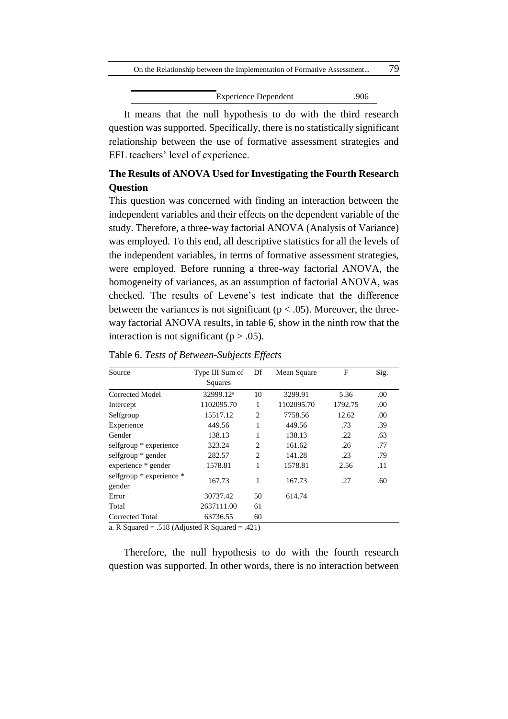| On the Relationship between the Implementation of Formative Assessment |                             |     |  |
|------------------------------------------------------------------------|-----------------------------|-----|--|
|                                                                        |                             |     |  |
|                                                                        | <b>Experience Dependent</b> | 906 |  |

It means that the null hypothesis to do with the third research question was supported. Specifically, there is no statistically significant relationship between the use of formative assessment strategies and EFL teachers' level of experience.

# **The Results of ANOVA Used for Investigating the Fourth Research Question**

This question was concerned with finding an interaction between the independent variables and their effects on the dependent variable of the study. Therefore, a three-way factorial ANOVA (Analysis of Variance) was employed. To this end, all descriptive statistics for all the levels of the independent variables, in terms of formative assessment strategies, were employed. Before running a three-way factorial ANOVA, the homogeneity of variances, as an assumption of factorial ANOVA, was checked. The results of Levene's test indicate that the difference between the variances is not significant ( $p < .05$ ). Moreover, the threeway factorial ANOVA results, in table 6, show in the ninth row that the interaction is not significant ( $p > .05$ ).

| Source                                              | Type III Sum of       | Df             | Mean Square | F       | Sig. |
|-----------------------------------------------------|-----------------------|----------------|-------------|---------|------|
|                                                     | Squares               |                |             |         |      |
| Corrected Model                                     | 32999.12 <sup>a</sup> | 10             | 3299.91     | 5.36    | .00  |
| Intercept                                           | 1102095.70            | 1              | 1102095.70  | 1792.75 | .00  |
| Selfgroup                                           | 15517.12              | $\overline{c}$ | 7758.56     | 12.62   | .00  |
| Experience                                          | 449.56                | 1              | 449.56      | .73     | .39  |
| Gender                                              | 138.13                | 1              | 138.13      | .22     | .63  |
| selfgroup * experience                              | 323.24                | 2              | 161.62      | .26     | .77  |
| selfgroup * gender                                  | 282.57                | $\overline{c}$ | 141.28      | .23     | .79  |
| experience * gender                                 | 1578.81               | 1              | 1578.81     | 2.56    | .11  |
| selfgroup * experience *<br>gender                  | 167.73                | 1              | 167.73      | .27     | .60  |
| Error                                               | 30737.42              | 50             | 614.74      |         |      |
| Total                                               | 2637111.00            | 61             |             |         |      |
| <b>Corrected Total</b>                              | 63736.55              | 60             |             |         |      |
| $\Omega$ P Squared – 518 (Adjusted P Squared – 421) |                       |                |             |         |      |

Table 6. *Tests of Between-Subjects Effects*

a. R Squared = .518 (Adjusted R Squared = .421)

Therefore, the null hypothesis to do with the fourth research question was supported. In other words, there is no interaction between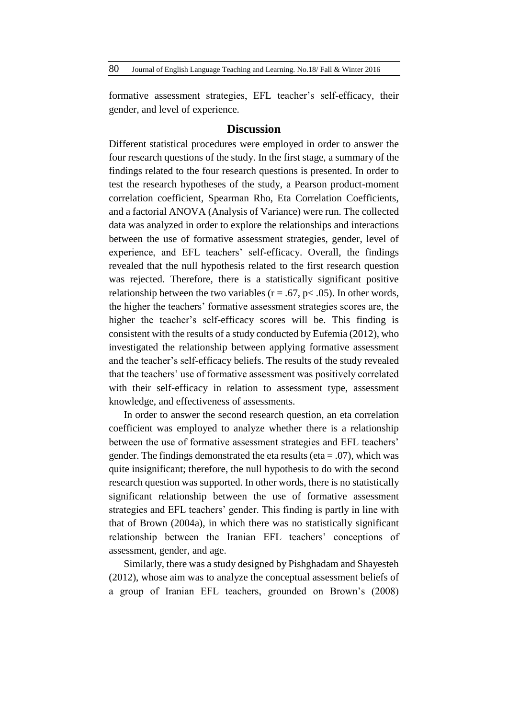formative assessment strategies, EFL teacher's self-efficacy, their gender, and level of experience.

### **Discussion**

Different statistical procedures were employed in order to answer the four research questions of the study. In the first stage, a summary of the findings related to the four research questions is presented. In order to test the research hypotheses of the study, a Pearson product-moment correlation coefficient, Spearman Rho, Eta Correlation Coefficients, and a factorial ANOVA (Analysis of Variance) were run. The collected data was analyzed in order to explore the relationships and interactions between the use of formative assessment strategies, gender, level of experience, and EFL teachers' self-efficacy. Overall, the findings revealed that the null hypothesis related to the first research question was rejected. Therefore, there is a statistically significant positive relationship between the two variables ( $r = .67$ ,  $p < .05$ ). In other words, the higher the teachers' formative assessment strategies scores are, the higher the teacher's self-efficacy scores will be. This finding is consistent with the results of a study conducted by Eufemia (2012), who investigated the relationship between applying formative assessment and the teacher's self-efficacy beliefs. The results of the study revealed that the teachers' use of formative assessment was positively correlated with their self-efficacy in relation to assessment type, assessment knowledge, and effectiveness of assessments.

In order to answer the second research question, an eta correlation coefficient was employed to analyze whether there is a relationship between the use of formative assessment strategies and EFL teachers' gender. The findings demonstrated the eta results (eta  $= .07$ ), which was quite insignificant; therefore, the null hypothesis to do with the second research question was supported. In other words, there is no statistically significant relationship between the use of formative assessment strategies and EFL teachers' gender. This finding is partly in line with that of Brown (2004a), in which there was no statistically significant relationship between the Iranian EFL teachers' conceptions of assessment, gender, and age.

Similarly, there was a study designed by Pishghadam and Shayesteh (2012), whose aim was to analyze the conceptual assessment beliefs of a group of Iranian EFL teachers, grounded on Brown's (2008)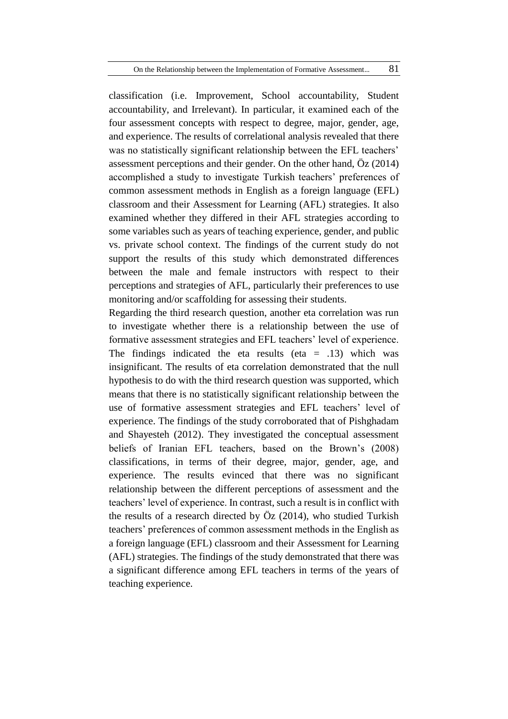classification (i.e. Improvement, School accountability, Student accountability, and Irrelevant). In particular, it examined each of the four assessment concepts with respect to degree, major, gender, age, and experience. The results of correlational analysis revealed that there was no statistically significant relationship between the EFL teachers' assessment perceptions and their gender. On the other hand, Öz (2014) accomplished a study to investigate Turkish teachers' preferences of common assessment methods in English as a foreign language (EFL) classroom and their Assessment for Learning (AFL) strategies. It also examined whether they differed in their AFL strategies according to some variables such as years of teaching experience, gender, and public vs. private school context. The findings of the current study do not support the results of this study which demonstrated differences between the male and female instructors with respect to their perceptions and strategies of AFL, particularly their preferences to use monitoring and/or scaffolding for assessing their students.

Regarding the third research question, another eta correlation was run to investigate whether there is a relationship between the use of formative assessment strategies and EFL teachers' level of experience. The findings indicated the eta results (eta  $= .13$ ) which was insignificant. The results of eta correlation demonstrated that the null hypothesis to do with the third research question was supported, which means that there is no statistically significant relationship between the use of formative assessment strategies and EFL teachers' level of experience. The findings of the study corroborated that of Pishghadam and Shayesteh (2012). They investigated the conceptual assessment beliefs of Iranian EFL teachers, based on the Brown's (2008) classifications, in terms of their degree, major, gender, age, and experience. The results evinced that there was no significant relationship between the different perceptions of assessment and the teachers' level of experience. In contrast, such a result is in conflict with the results of a research directed by  $\ddot{O}z$  (2014), who studied Turkish teachers' preferences of common assessment methods in the English as a foreign language (EFL) classroom and their Assessment for Learning (AFL) strategies. The findings of the study demonstrated that there was a significant difference among EFL teachers in terms of the years of teaching experience.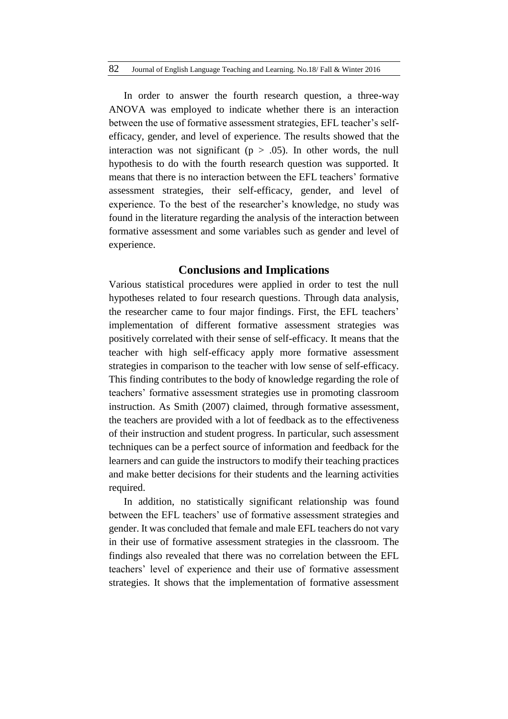82 Journal of English Language Teaching and Learning. No.18/ Fall & Winter 2016

In order to answer the fourth research question, a three-way ANOVA was employed to indicate whether there is an interaction between the use of formative assessment strategies, EFL teacher's selfefficacy, gender, and level of experience. The results showed that the interaction was not significant ( $p > .05$ ). In other words, the null hypothesis to do with the fourth research question was supported. It means that there is no interaction between the EFL teachers' formative assessment strategies, their self-efficacy, gender, and level of experience. To the best of the researcher's knowledge, no study was found in the literature regarding the analysis of the interaction between formative assessment and some variables such as gender and level of experience.

### **Conclusions and Implications**

Various statistical procedures were applied in order to test the null hypotheses related to four research questions. Through data analysis, the researcher came to four major findings. First, the EFL teachers' implementation of different formative assessment strategies was positively correlated with their sense of self-efficacy. It means that the teacher with high self-efficacy apply more formative assessment strategies in comparison to the teacher with low sense of self-efficacy. This finding contributes to the body of knowledge regarding the role of teachers' formative assessment strategies use in promoting classroom instruction. As Smith (2007) claimed, through formative assessment, the teachers are provided with a lot of feedback as to the effectiveness of their instruction and student progress. In particular, such assessment techniques can be a perfect source of information and feedback for the learners and can guide the instructors to modify their teaching practices and make better decisions for their students and the learning activities required.

In addition, no statistically significant relationship was found between the EFL teachers' use of formative assessment strategies and gender. It was concluded that female and male EFL teachers do not vary in their use of formative assessment strategies in the classroom. The findings also revealed that there was no correlation between the EFL teachers' level of experience and their use of formative assessment strategies. It shows that the implementation of formative assessment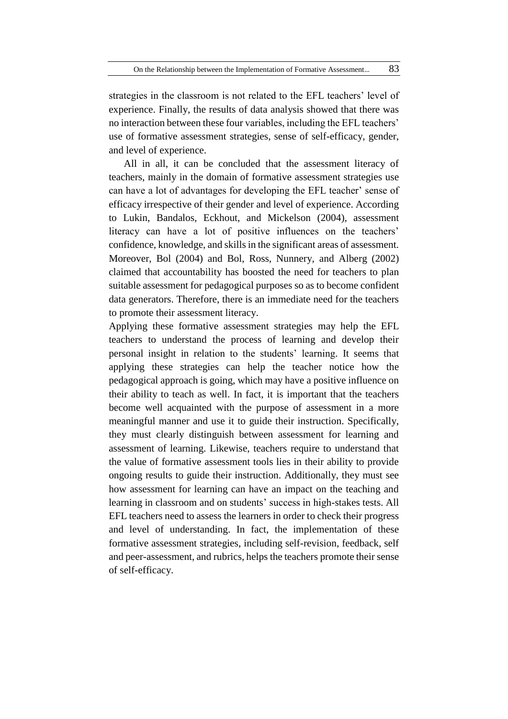strategies in the classroom is not related to the EFL teachers' level of experience. Finally, the results of data analysis showed that there was no interaction between these four variables, including the EFL teachers' use of formative assessment strategies, sense of self-efficacy, gender, and level of experience.

All in all, it can be concluded that the assessment literacy of teachers, mainly in the domain of formative assessment strategies use can have a lot of advantages for developing the EFL teacher' sense of efficacy irrespective of their gender and level of experience. According to Lukin, Bandalos, Eckhout, and Mickelson (2004), assessment literacy can have a lot of positive influences on the teachers' confidence, knowledge, and skills in the significant areas of assessment. Moreover, Bol (2004) and Bol, Ross, Nunnery, and Alberg (2002) claimed that accountability has boosted the need for teachers to plan suitable assessment for pedagogical purposes so as to become confident data generators. Therefore, there is an immediate need for the teachers to promote their assessment literacy.

Applying these formative assessment strategies may help the EFL teachers to understand the process of learning and develop their personal insight in relation to the students' learning. It seems that applying these strategies can help the teacher notice how the pedagogical approach is going, which may have a positive influence on their ability to teach as well. In fact, it is important that the teachers become well acquainted with the purpose of assessment in a more meaningful manner and use it to guide their instruction. Specifically, they must clearly distinguish between assessment for learning and assessment of learning. Likewise, teachers require to understand that the value of formative assessment tools lies in their ability to provide ongoing results to guide their instruction. Additionally, they must see how assessment for learning can have an impact on the teaching and learning in classroom and on students' success in high-stakes tests. All EFL teachers need to assess the learners in order to check their progress and level of understanding. In fact, the implementation of these formative assessment strategies, including self-revision, feedback, self and peer-assessment, and rubrics, helps the teachers promote their sense of self-efficacy.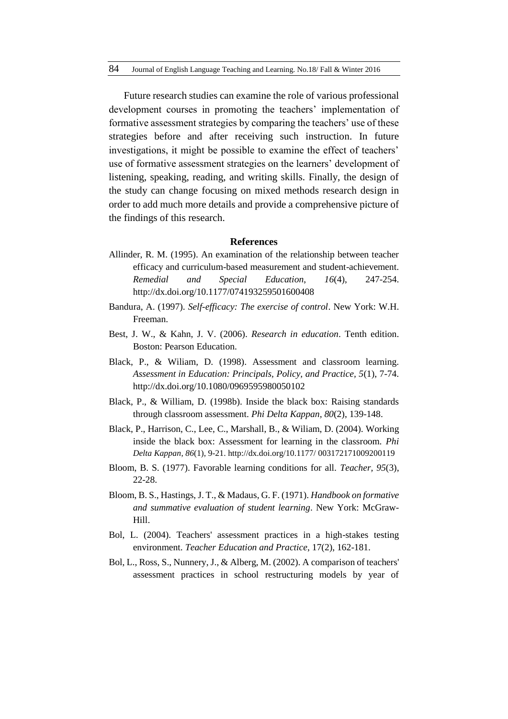Future research studies can examine the role of various professional development courses in promoting the teachers' implementation of formative assessment strategies by comparing the teachers' use of these strategies before and after receiving such instruction. In future investigations, it might be possible to examine the effect of teachers' use of formative assessment strategies on the learners' development of listening, speaking, reading, and writing skills. Finally, the design of the study can change focusing on mixed methods research design in order to add much more details and provide a comprehensive picture of the findings of this research.

#### **References**

- Allinder, R. M. (1995). An examination of the relationship between teacher efficacy and curriculum-based measurement and student-achievement. *Remedial and Special Education*, *16*(4), 247-254. http://dx.doi.org/10.1177/074193259501600408
- Bandura, A. (1997). *Self-efficacy: The exercise of control*. New York: W.H. Freeman.
- Best, J. W., & Kahn, J. V. (2006). *Research in education*. Tenth edition. Boston: Pearson Education.
- Black, P., & Wiliam, D. (1998). Assessment and classroom learning. *Assessment in Education: Principals, Policy, and Practice, 5*(1), 7-74. http://dx.doi.org/10.1080/0969595980050102
- Black, P., & William, D. (1998b). Inside the black box: Raising standards through classroom assessment. *Phi Delta Kappan, 80*(2), 139-148.
- Black, P., Harrison, C., Lee, C., Marshall, B., & Wiliam, D. (2004). Working inside the black box: Assessment for learning in the classroom. *Phi Delta Kappan*, *86*(1), 9-21. <http://dx.doi.org/10.1177/> 003172171009200119
- Bloom, B. S. (1977). Favorable learning conditions for all. *Teacher, 95*(3), 22-28.
- Bloom, B. S., Hastings, J. T., & Madaus, G. F. (1971). *Handbook on formative and summative evaluation of student learning*. New York: McGraw-Hill.
- Bol, L. (2004). Teachers' assessment practices in a high-stakes testing environment. *Teacher Education and Practice*, 17(2), 162-181.
- Bol, L., Ross, S., Nunnery, J., & Alberg, M. (2002). A comparison of teachers' assessment practices in school restructuring models by year of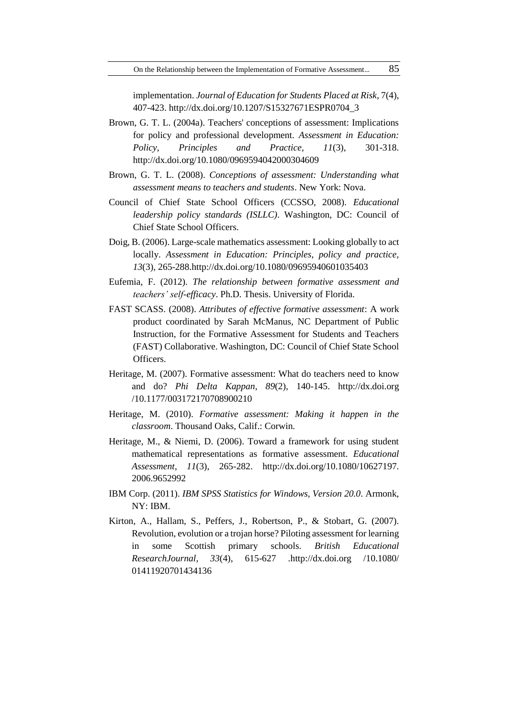implementation. *Journal of Education for Students Placed at Risk*, 7(4), 407-423. http://dx.doi.org/10.1207/S15327671ESPR0704\_3

- Brown, G. T. L. (2004a). Teachers' conceptions of assessment: Implications for policy and professional development. *Assessment in Education: Policy, Principles and Practice, 11*(3), 301-318. http://dx.doi.org/10.1080/0969594042000304609
- Brown, G. T. L. (2008). *Conceptions of assessment: Understanding what assessment means to teachers and students*. New York: Nova.
- Council of Chief State School Officers (CCSSO, 2008). *Educational leadership policy standards (ISLLC)*. Washington, DC: Council of Chief State School Officers.
- Doig, B. (2006). Large-scale mathematics assessment: Looking globally to act locally. *Assessment in Education: Principles, policy and practice, 13*(3), 265-288.http://dx.doi.org/10.1080/09695940601035403
- Eufemia, F. (2012). *The relationship between formative assessment and teachers' self-efficacy*. Ph.D. Thesis. University of Florida.
- FAST SCASS. (2008). *Attributes of effective formative assessment*: A work product coordinated by Sarah McManus, NC Department of Public Instruction, for the Formative Assessment for Students and Teachers (FAST) Collaborative. Washington, DC: Council of Chief State School Officers.
- Heritage, M. (2007). Formative assessment: What do teachers need to know and do? *Phi Delta Kappan*, *89*(2), 140-145. [http://dx.doi.org](http://dx.doi.org/) /10.1177/003172170708900210
- Heritage, M. (2010). *Formative assessment: Making it happen in the classroom*. Thousand Oaks, Calif.: Corwin.
- Heritage, M., & Niemi, D. (2006). Toward a framework for using student mathematical representations as formative assessment. *Educational Assessment*, *11*(3), 265-282. http://dx.doi.org/10.1080/10627197. 2006.9652992
- IBM Corp. (2011). *IBM SPSS Statistics for Windows, Version 20.0*. Armonk, NY: IBM.
- Kirton, A., Hallam, S., Peffers, J., Robertson, P., & Stobart, G. (2007). Revolution, evolution or a trojan horse? Piloting assessment for learning in some Scottish primary schools. *British Educational ResearchJournal, 33*(4), 615-627 .http://dx.doi.org /10.1080/ 01411920701434136